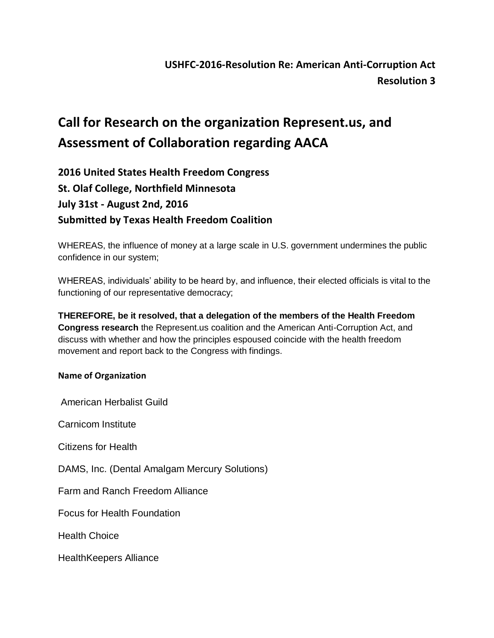## **Call for Research on the organization Represent.us, and Assessment of Collaboration regarding AACA**

**2016 United States Health Freedom Congress St. Olaf College, Northfield Minnesota July 31st - August 2nd, 2016 Submitted by Texas Health Freedom Coalition**

WHEREAS, the influence of money at a large scale in U.S. government undermines the public confidence in our system;

WHEREAS, individuals' ability to be heard by, and influence, their elected officials is vital to the functioning of our representative democracy;

**THEREFORE, be it resolved, that a delegation of the members of the Health Freedom Congress research** the Represent.us coalition and the American Anti-Corruption Act, and discuss with whether and how the principles espoused coincide with the health freedom movement and report back to the Congress with findings.

## **Name of Organization**

American Herbalist Guild

Carnicom Institute

Citizens for Health

DAMS, Inc. (Dental Amalgam Mercury Solutions)

Farm and Ranch Freedom Alliance

Focus for Health Foundation

Health Choice

HealthKeepers Alliance